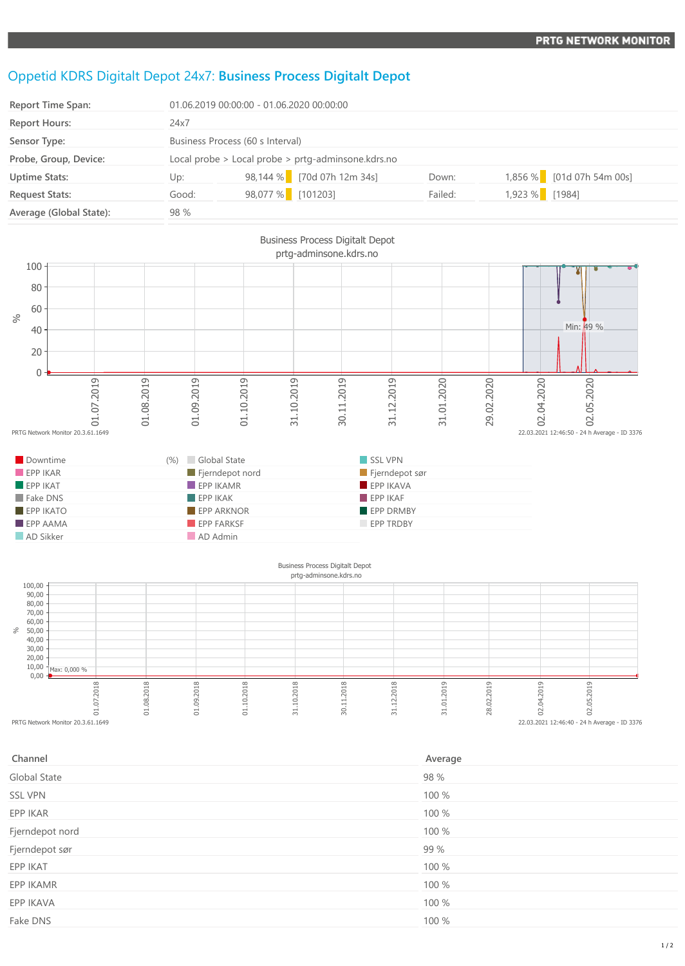## Oppetid KDRS Digitalt Depot 24x7: **Business Process Digitalt Depot**

| <b>Report Time Span:</b> | 01.06.2019 00:00:00 - 01.06.2020 00:00:00              |                   |                            |         |                |                           |
|--------------------------|--------------------------------------------------------|-------------------|----------------------------|---------|----------------|---------------------------|
| <b>Report Hours:</b>     | 24x7                                                   |                   |                            |         |                |                           |
| Sensor Type:             | Business Process (60 s Interval)                       |                   |                            |         |                |                           |
| Probe, Group, Device:    | Local probe $>$ Local probe $>$ prtg-adminsone.kdrs.no |                   |                            |         |                |                           |
| <b>Uptime Stats:</b>     | Up:                                                    |                   | 98,144 % [70d 07h 12m 34s] | Down:   |                | 1,856 % [01d 07h 54m 00s] |
| <b>Request Stats:</b>    | Good:                                                  | 98,077 % [101203] |                            | Failed: | 1,923 % [1984] |                           |
| Average (Global State):  | 98 %                                                   |                   |                            |         |                |                           |



| Channel         | Average |
|-----------------|---------|
| Global State    | 98 %    |
| <b>SSL VPN</b>  | 100 %   |
| EPP IKAR        | 100 %   |
| Fjerndepot nord | 100 %   |
| Fjerndepot sør  | 99 %    |
| EPP IKAT        | 100 %   |
| EPP IKAMR       | 100 %   |
| EPP IKAVA       | 100 %   |
| Fake DNS        | 100 %   |
|                 |         |

PRTG Network Monitor 20.3.61.1649 22.03.2021 12:46:40 - 24 h Average - ID 3376